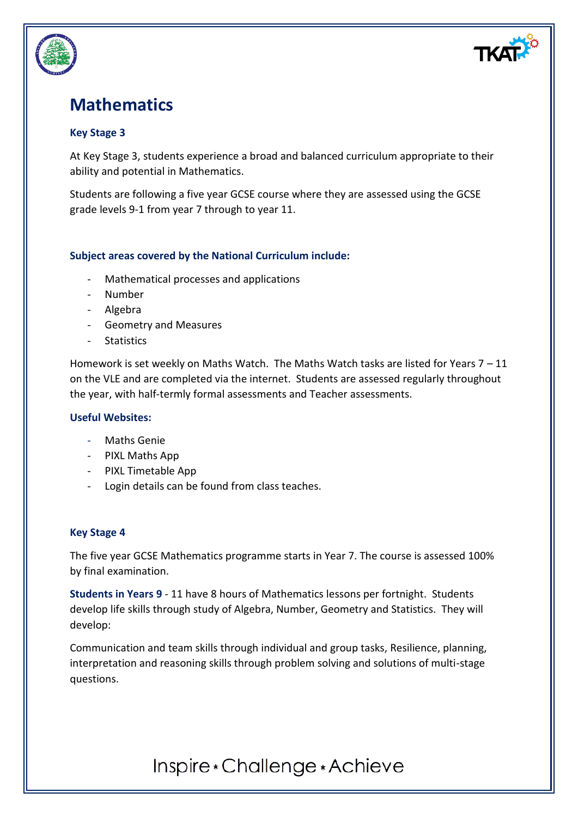

## **Mathematics**

### **Key Stage 3**

At Key Stage 3, students experience a broad and balanced curriculum appropriate to their ability and potential in Mathematics.

Students are following a five year GCSE course where they are assessed using the GCSE grade levels 9-1 from year 7 through to year 11.

### **Subject areas covered by the National Curriculum include:**

- Mathematical processes and applications
- Number
- Algebra
- Geometry and Measures
- Statistics

Homework is set weekly on Maths Watch. The Maths Watch tasks are listed for Years  $7 - 11$ on the VLE and are completed via the internet. Students are assessed regularly throughout the year, with half-termly formal assessments and Teacher assessments.

#### **Useful Websites:**

- Maths Genie
- PIXL Maths App
- PIXL Timetable App
- Login details can be found from class teaches.

#### **Key Stage 4**

The five year GCSE Mathematics programme starts in Year 7. The course is assessed 100% by final examination.

**Students in Years 9** - 11 have 8 hours of Mathematics lessons per fortnight. Students develop life skills through study of Algebra, Number, Geometry and Statistics. They will develop:

Communication and team skills through individual and group tasks, Resilience, planning, interpretation and reasoning skills through problem solving and solutions of multi-stage questions.

# Inspire \* Challenge \* Achieve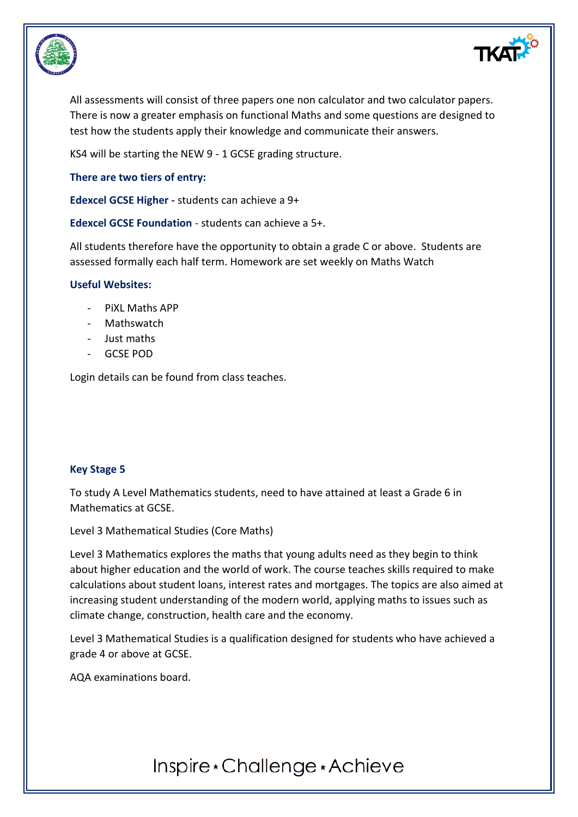



All assessments will consist of three papers one non calculator and two calculator papers. There is now a greater emphasis on functional Maths and some questions are designed to test how the students apply their knowledge and communicate their answers.

KS4 will be starting the NEW 9 - 1 GCSE grading structure.

**There are two tiers of entry:**

**Edexcel GCSE Higher -** students can achieve a 9+

**Edexcel GCSE Foundation** - students can achieve a 5+.

All students therefore have the opportunity to obtain a grade C or above. Students are assessed formally each half term. Homework are set weekly on Maths Watch

#### **Useful Websites:**

- PiXL Maths APP
- Mathswatch
- Just maths
- GCSE POD

Login details can be found from class teaches.

#### **Key Stage 5**

To study A Level Mathematics students, need to have attained at least a Grade 6 in Mathematics at GCSE.

Level 3 Mathematical Studies (Core Maths)

Level 3 Mathematics explores the maths that young adults need as they begin to think about higher education and the world of work. The course teaches skills required to make calculations about student loans, interest rates and mortgages. The topics are also aimed at increasing student understanding of the modern world, applying maths to issues such as climate change, construction, health care and the economy.

Level 3 Mathematical Studies is a qualification designed for students who have achieved a grade 4 or above at GCSE.

AQA examinations board.

## Inspire \* Challenge \* Achieve